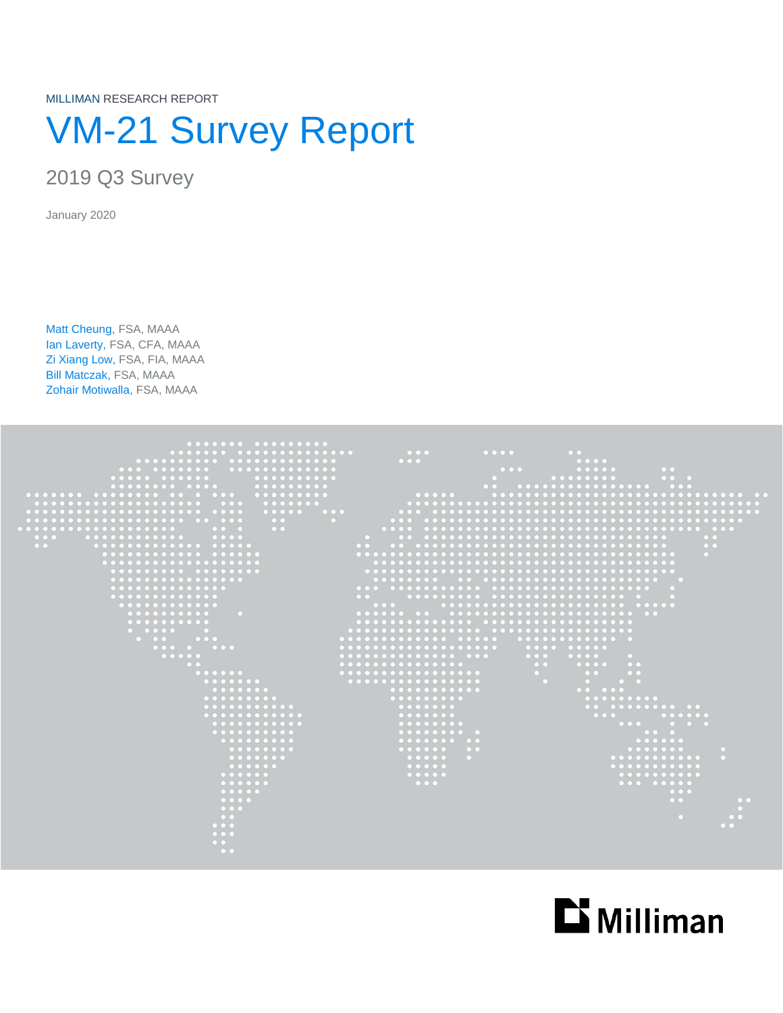MILLIMAN RESEARCH REPORT

# VM-21 Survey Report

# 2019 Q3 Survey

January 2020

Matt Cheung, FSA, MAAA Ian Laverty, FSA, CFA, MAAA Zi Xiang Low, FSA, FIA, MAAA Bill Matczak, FSA, MAAA Zohair Motiwalla, FSA, MAAA



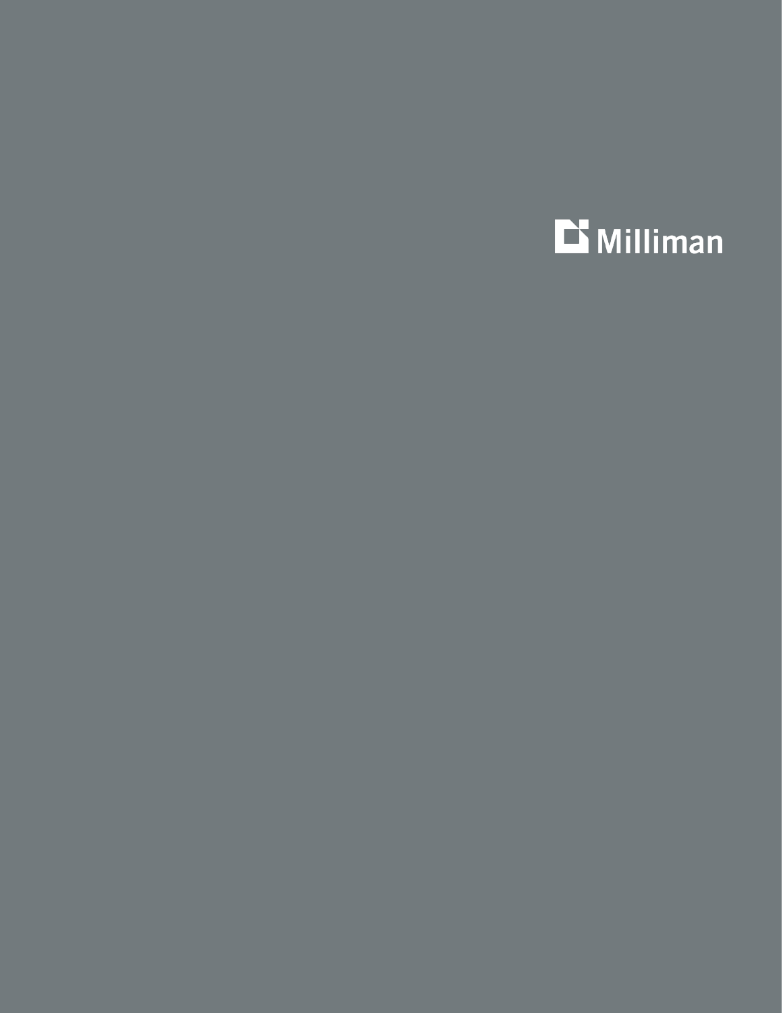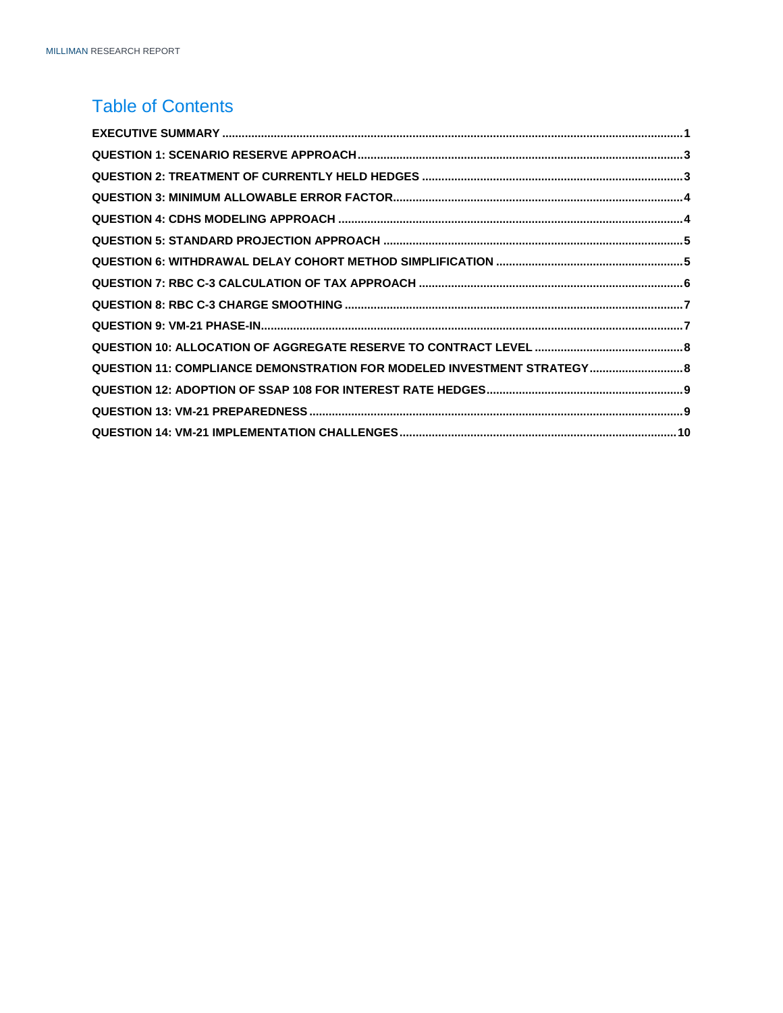### Table of Contents

| QUESTION 11: COMPLIANCE DEMONSTRATION FOR MODELED INVESTMENT STRATEGY 8 |  |
|-------------------------------------------------------------------------|--|
|                                                                         |  |
|                                                                         |  |
|                                                                         |  |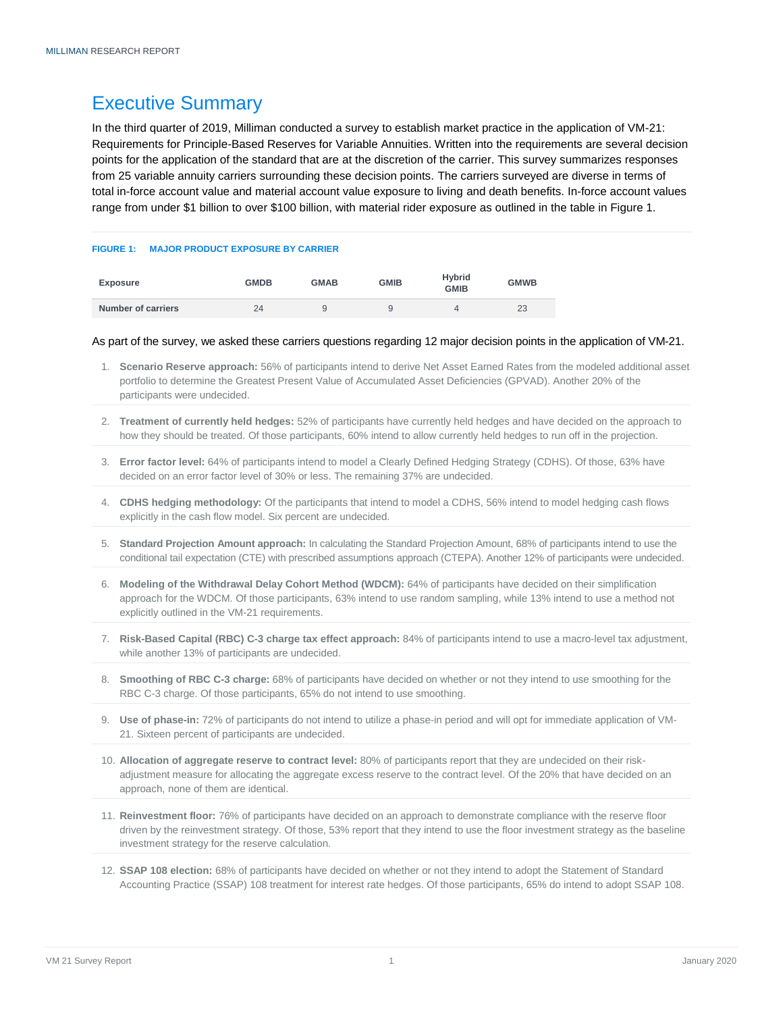### <span id="page-3-0"></span>Executive Summary

In the third quarter of 2019, Milliman conducted a survey to establish market practice in the application of VM-21: Requirements for Principle-Based Reserves for Variable Annuities. Written into the requirements are several decision points for the application of the standard that are at the discretion of the carrier. This survey summarizes responses from 25 variable annuity carriers surrounding these decision points. The carriers surveyed are diverse in terms of total in-force account value and material account value exposure to living and death benefits. In-force account values range from under \$1 billion to over \$100 billion, with material rider exposure as outlined in the table in Figure 1.

#### **FIGURE 1: MAJOR PRODUCT EXPOSURE BY CARRIER**

| Exposure           | <b>GMDB</b> | <b>GMAB</b> | <b>GMIB</b> | Hybrid<br><b>GMIB</b> | <b>GMWB</b> |
|--------------------|-------------|-------------|-------------|-----------------------|-------------|
| Number of carriers | 24          |             | Q           |                       | 23          |

#### As part of the survey, we asked these carriers questions regarding 12 major decision points in the application of VM-21.

- 1. **Scenario Reserve approach:** 56% of participants intend to derive Net Asset Earned Rates from the modeled additional asset portfolio to determine the Greatest Present Value of Accumulated Asset Deficiencies (GPVAD). Another 20% of the participants were undecided.
- 2. **Treatment of currently held hedges:** 52% of participants have currently held hedges and have decided on the approach to how they should be treated. Of those participants, 60% intend to allow currently held hedges to run off in the projection.
- 3. **Error factor level:** 64% of participants intend to model a Clearly Defined Hedging Strategy (CDHS). Of those, 63% have decided on an error factor level of 30% or less. The remaining 37% are undecided.
- 4. **CDHS hedging methodology:** Of the participants that intend to model a CDHS, 56% intend to model hedging cash flows explicitly in the cash flow model. Six percent are undecided.
- 5. **Standard Projection Amount approach:** In calculating the Standard Projection Amount, 68% of participants intend to use the conditional tail expectation (CTE) with prescribed assumptions approach (CTEPA). Another 12% of participants were undecided.
- 6. **Modeling of the Withdrawal Delay Cohort Method (WDCM):** 64% of participants have decided on their simplification approach for the WDCM. Of those participants, 63% intend to use random sampling, while 13% intend to use a method not explicitly outlined in the VM-21 requirements.
- 7. **Risk-Based Capital (RBC) C-3 charge tax effect approach:** 84% of participants intend to use a macro-level tax adjustment, while another 13% of participants are undecided.
- 8. **Smoothing of RBC C-3 charge:** 68% of participants have decided on whether or not they intend to use smoothing for the RBC C-3 charge. Of those participants, 65% do not intend to use smoothing.
- 9. **Use of phase-in:** 72% of participants do not intend to utilize a phase-in period and will opt for immediate application of VM-21. Sixteen percent of participants are undecided.
- 10. **Allocation of aggregate reserve to contract level:** 80% of participants report that they are undecided on their riskadjustment measure for allocating the aggregate excess reserve to the contract level. Of the 20% that have decided on an approach, none of them are identical.
- 11. **Reinvestment floor:** 76% of participants have decided on an approach to demonstrate compliance with the reserve floor driven by the reinvestment strategy. Of those, 53% report that they intend to use the floor investment strategy as the baseline investment strategy for the reserve calculation.
- 12. **SSAP 108 election:** 68% of participants have decided on whether or not they intend to adopt the Statement of Standard Accounting Practice (SSAP) 108 treatment for interest rate hedges. Of those participants, 65% do intend to adopt SSAP 108.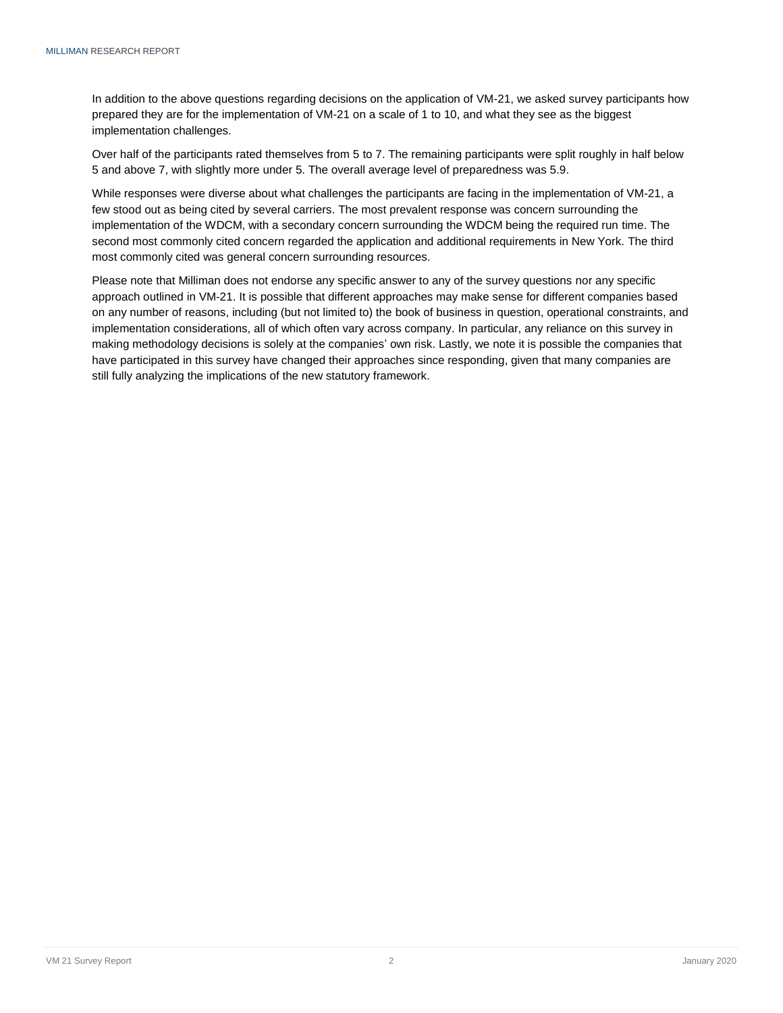In addition to the above questions regarding decisions on the application of VM-21, we asked survey participants how prepared they are for the implementation of VM-21 on a scale of 1 to 10, and what they see as the biggest implementation challenges.

Over half of the participants rated themselves from 5 to 7. The remaining participants were split roughly in half below 5 and above 7, with slightly more under 5. The overall average level of preparedness was 5.9.

While responses were diverse about what challenges the participants are facing in the implementation of VM-21, a few stood out as being cited by several carriers. The most prevalent response was concern surrounding the implementation of the WDCM, with a secondary concern surrounding the WDCM being the required run time. The second most commonly cited concern regarded the application and additional requirements in New York. The third most commonly cited was general concern surrounding resources.

Please note that Milliman does not endorse any specific answer to any of the survey questions nor any specific approach outlined in VM-21. It is possible that different approaches may make sense for different companies based on any number of reasons, including (but not limited to) the book of business in question, operational constraints, and implementation considerations, all of which often vary across company. In particular, any reliance on this survey in making methodology decisions is solely at the companies' own risk. Lastly, we note it is possible the companies that have participated in this survey have changed their approaches since responding, given that many companies are still fully analyzing the implications of the new statutory framework.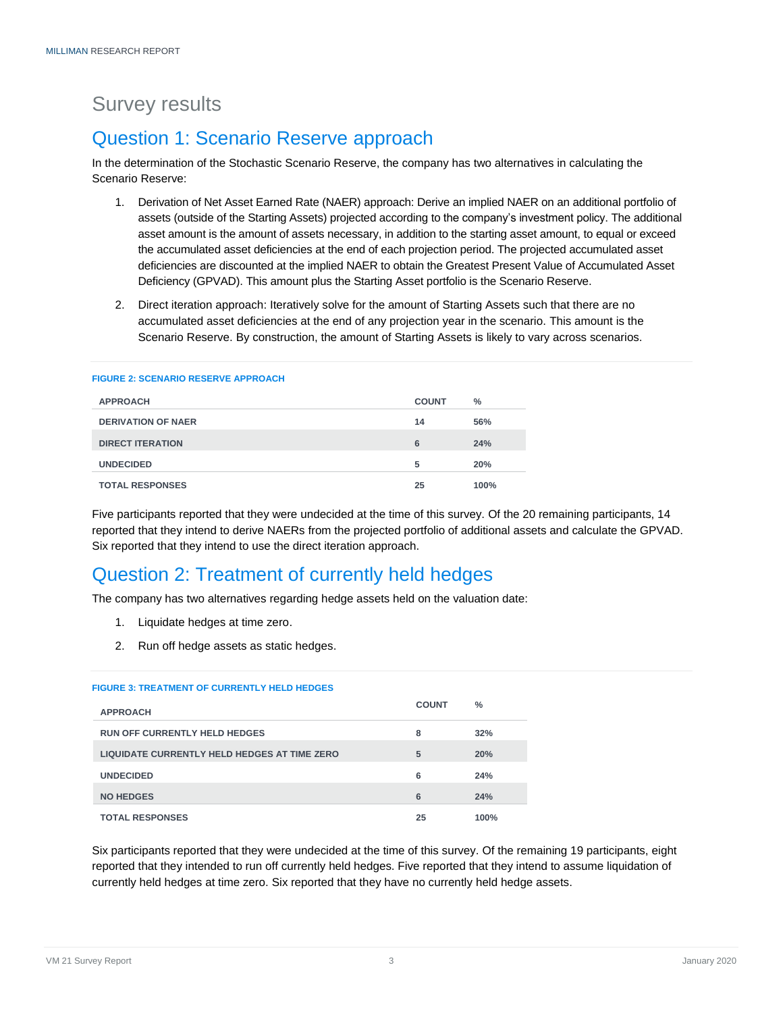### <span id="page-5-2"></span>Survey results

## <span id="page-5-0"></span>Question 1: Scenario Reserve approach

In the determination of the Stochastic Scenario Reserve, the company has two alternatives in calculating the Scenario Reserve:

- 1. Derivation of Net Asset Earned Rate (NAER) approach: Derive an implied NAER on an additional portfolio of assets (outside of the Starting Assets) projected according to the company's investment policy. The additional asset amount is the amount of assets necessary, in addition to the starting asset amount, to equal or exceed the accumulated asset deficiencies at the end of each projection period. The projected accumulated asset deficiencies are discounted at the implied NAER to obtain the Greatest Present Value of Accumulated Asset Deficiency (GPVAD). This amount plus the Starting Asset portfolio is the Scenario Reserve.
- 2. Direct iteration approach: Iteratively solve for the amount of Starting Assets such that there are no accumulated asset deficiencies at the end of any projection year in the scenario. This amount is the Scenario Reserve. By construction, the amount of Starting Assets is likely to vary across scenarios.

| <b>APPROACH</b>           | <b>COUNT</b> | $\frac{0}{0}$ |
|---------------------------|--------------|---------------|
| <b>DERIVATION OF NAER</b> | 14           | 56%           |
| <b>DIRECT ITERATION</b>   | 6            | 24%           |
| <b>UNDECIDED</b>          | 5            | 20%           |
| <b>TOTAL RESPONSES</b>    | 25           | 100%          |

#### **FIGURE 2: SCENARIO RESERVE APPROACH**

Five participants reported that they were undecided at the time of this survey. Of the 20 remaining participants, 14 reported that they intend to derive NAERs from the projected portfolio of additional assets and calculate the GPVAD. Six reported that they intend to use the direct iteration approach.

### <span id="page-5-1"></span>Question 2: Treatment of currently held hedges

The company has two alternatives regarding hedge assets held on the valuation date:

- 1. Liquidate hedges at time zero.
- 2. Run off hedge assets as static hedges.

#### **FIGURE 3: TREATMENT OF CURRENTLY HELD HEDGES**

| <b>APPROACH</b>                              | <b>COUNT</b> | $\%$ |
|----------------------------------------------|--------------|------|
| <b>RUN OFF CURRENTLY HELD HEDGES</b>         | 8            | 32%  |
| LIQUIDATE CURRENTLY HELD HEDGES AT TIME ZERO | 5            | 20%  |
| <b>UNDECIDED</b>                             | 6            | 24%  |
| <b>NO HEDGES</b>                             | 6            | 24%  |
| <b>TOTAL RESPONSES</b>                       | 25           | 100% |

Six participants reported that they were undecided at the time of this survey. Of the remaining 19 participants, eight reported that they intended to run off currently held hedges. Five reported that they intend to assume liquidation of currently held hedges at time zero. Six reported that they have no currently held hedge assets.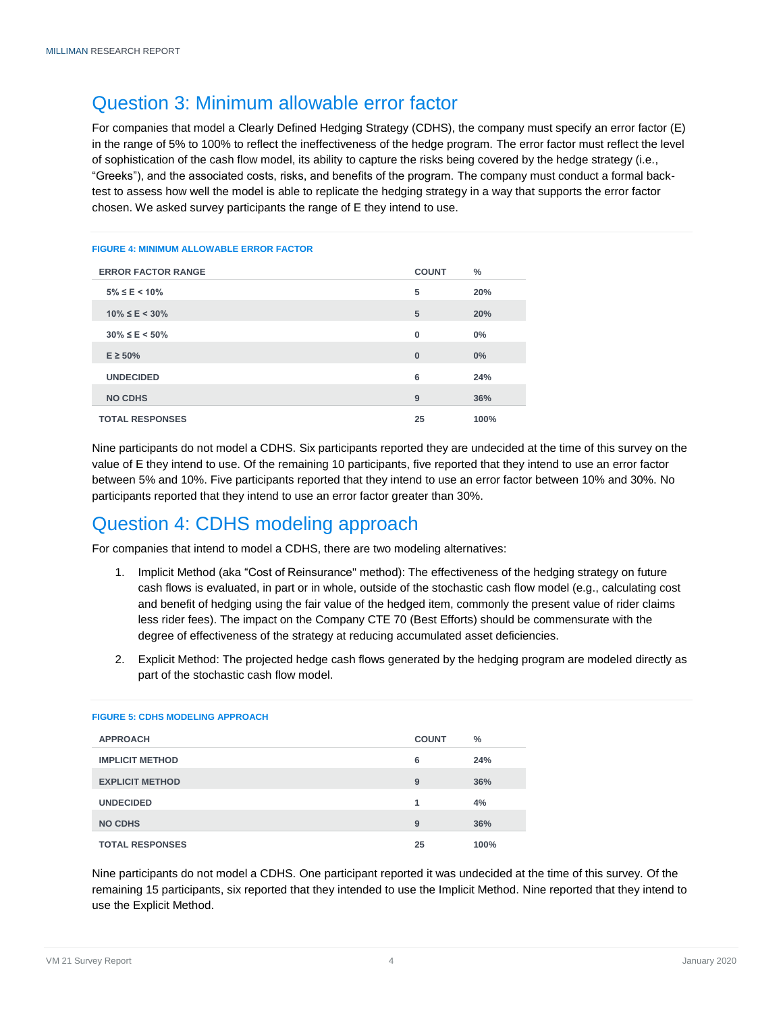### <span id="page-6-1"></span>Question 3: Minimum allowable error factor

For companies that model a Clearly Defined Hedging Strategy (CDHS), the company must specify an error factor (E) in the range of 5% to 100% to reflect the ineffectiveness of the hedge program. The error factor must reflect the level of sophistication of the cash flow model, its ability to capture the risks being covered by the hedge strategy (i.e., "Greeks"), and the associated costs, risks, and benefits of the program. The company must conduct a formal backtest to assess how well the model is able to replicate the hedging strategy in a way that supports the error factor chosen. We asked survey participants the range of E they intend to use.

#### **FIGURE 4: MINIMUM ALLOWABLE ERROR FACTOR**

| <b>ERROR FACTOR RANGE</b> | <b>COUNT</b> | $\%$  |
|---------------------------|--------------|-------|
| $5\% \leq E \leq 10\%$    | 5            | 20%   |
| $10\% \leq E \leq 30\%$   | 5            | 20%   |
| $30\% \leq E < 50\%$      | 0            | $0\%$ |
| $E \ge 50\%$              | $\bf{0}$     | 0%    |
| <b>UNDECIDED</b>          | 6            | 24%   |
| <b>NO CDHS</b>            | 9            | 36%   |
| <b>TOTAL RESPONSES</b>    | 25           | 100%  |

Nine participants do not model a CDHS. Six participants reported they are undecided at the time of this survey on the value of E they intend to use. Of the remaining 10 participants, five reported that they intend to use an error factor between 5% and 10%. Five participants reported that they intend to use an error factor between 10% and 30%. No participants reported that they intend to use an error factor greater than 30%.

### <span id="page-6-0"></span>Question 4: CDHS modeling approach

For companies that intend to model a CDHS, there are two modeling alternatives:

- 1. Implicit Method (aka "Cost of Reinsurance" method): The effectiveness of the hedging strategy on future cash flows is evaluated, in part or in whole, outside of the stochastic cash flow model (e.g., calculating cost and benefit of hedging using the fair value of the hedged item, commonly the present value of rider claims less rider fees). The impact on the Company CTE 70 (Best Efforts) should be commensurate with the degree of effectiveness of the strategy at reducing accumulated asset deficiencies.
- 2. Explicit Method: The projected hedge cash flows generated by the hedging program are modeled directly as part of the stochastic cash flow model.

| <b>APPROACH</b>        | <b>COUNT</b> | $\%$ |
|------------------------|--------------|------|
| <b>IMPLICIT METHOD</b> | 6            | 24%  |
| <b>EXPLICIT METHOD</b> | 9            | 36%  |
| <b>UNDECIDED</b>       | 1            | 4%   |
| <b>NO CDHS</b>         | 9            | 36%  |
| <b>TOTAL RESPONSES</b> | 25           | 100% |

#### **FIGURE 5: CDHS MODELING APPROACH**

Nine participants do not model a CDHS. One participant reported it was undecided at the time of this survey. Of the remaining 15 participants, six reported that they intended to use the Implicit Method. Nine reported that they intend to use the Explicit Method.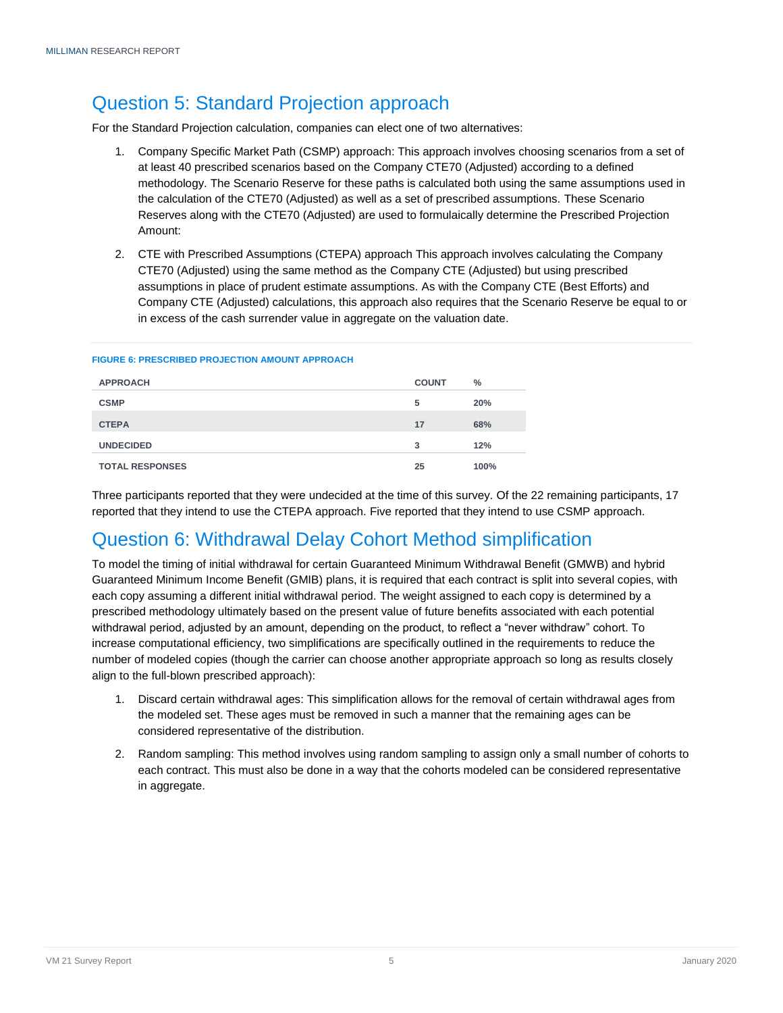### Question 5: Standard Projection approach

For the Standard Projection calculation, companies can elect one of two alternatives:

- 1. Company Specific Market Path (CSMP) approach: This approach involves choosing scenarios from a set of at least 40 prescribed scenarios based on the Company CTE70 (Adjusted) according to a defined methodology. The Scenario Reserve for these paths is calculated both using the same assumptions used in the calculation of the CTE70 (Adjusted) as well as a set of prescribed assumptions. These Scenario Reserves along with the CTE70 (Adjusted) are used to formulaically determine the Prescribed Projection Amount:
- 2. CTE with Prescribed Assumptions (CTEPA) approach This approach involves calculating the Company CTE70 (Adjusted) using the same method as the Company CTE (Adjusted) but using prescribed assumptions in place of prudent estimate assumptions. As with the Company CTE (Best Efforts) and Company CTE (Adjusted) calculations, this approach also requires that the Scenario Reserve be equal to or in excess of the cash surrender value in aggregate on the valuation date.

| <b>APPROACH</b>        | <b>COUNT</b> | $\%$ |
|------------------------|--------------|------|
| <b>CSMP</b>            | 5            | 20%  |
| <b>CTEPA</b>           | 17           | 68%  |
| <b>UNDECIDED</b>       | 3            | 12%  |
| <b>TOTAL RESPONSES</b> | 25           | 100% |

#### **FIGURE 6: PRESCRIBED PROJECTION AMOUNT APPROACH**

Three participants reported that they were undecided at the time of this survey. Of the 22 remaining participants, 17 reported that they intend to use the CTEPA approach. Five reported that they intend to use CSMP approach.

### <span id="page-7-0"></span>Question 6: Withdrawal Delay Cohort Method simplification

To model the timing of initial withdrawal for certain Guaranteed Minimum Withdrawal Benefit (GMWB) and hybrid Guaranteed Minimum Income Benefit (GMIB) plans, it is required that each contract is split into several copies, with each copy assuming a different initial withdrawal period. The weight assigned to each copy is determined by a prescribed methodology ultimately based on the present value of future benefits associated with each potential withdrawal period, adjusted by an amount, depending on the product, to reflect a "never withdraw" cohort. To increase computational efficiency, two simplifications are specifically outlined in the requirements to reduce the number of modeled copies (though the carrier can choose another appropriate approach so long as results closely align to the full-blown prescribed approach):

- 1. Discard certain withdrawal ages: This simplification allows for the removal of certain withdrawal ages from the modeled set. These ages must be removed in such a manner that the remaining ages can be considered representative of the distribution.
- 2. Random sampling: This method involves using random sampling to assign only a small number of cohorts to each contract. This must also be done in a way that the cohorts modeled can be considered representative in aggregate.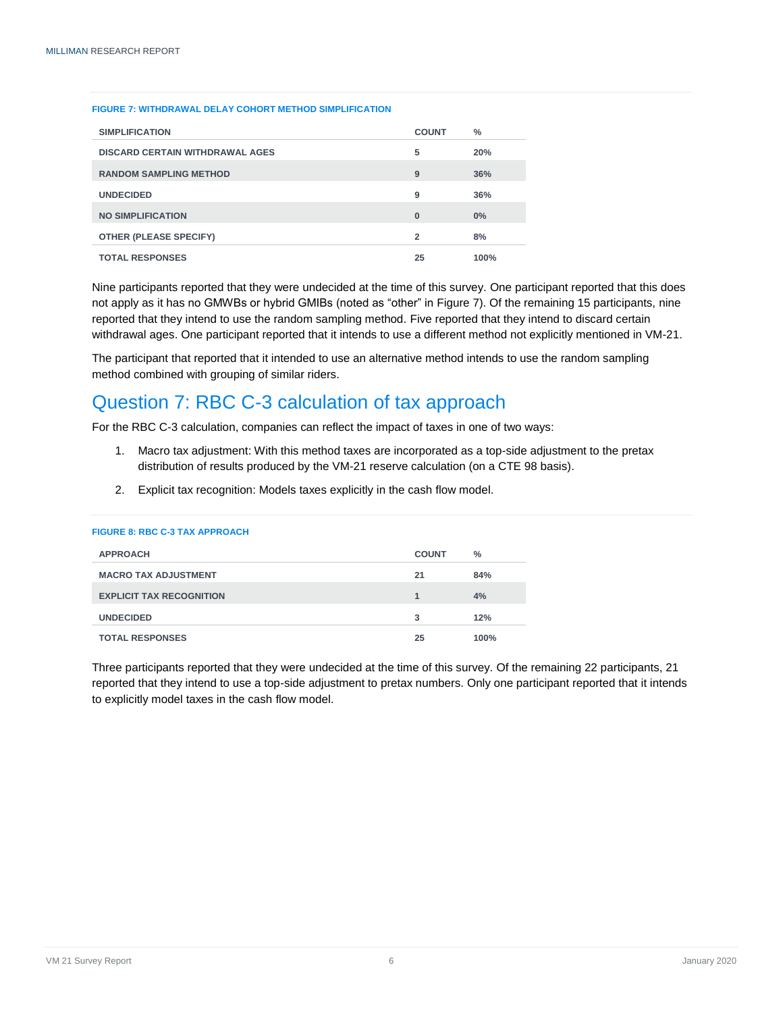#### **FIGURE 7: WITHDRAWAL DELAY COHORT METHOD SIMPLIFICATION**

| <b>SIMPLIFICATION</b>                  | <b>COUNT</b> | $\frac{0}{2}$ |
|----------------------------------------|--------------|---------------|
| <b>DISCARD CERTAIN WITHDRAWAL AGES</b> | 5            | 20%           |
| <b>RANDOM SAMPLING METHOD</b>          | 9            | 36%           |
| <b>UNDECIDED</b>                       | 9            | 36%           |
| <b>NO SIMPLIFICATION</b>               | $\bf{0}$     | $0\%$         |
| <b>OTHER (PLEASE SPECIFY)</b>          | 2            | 8%            |
| <b>TOTAL RESPONSES</b>                 | 25           | 100%          |

Nine participants reported that they were undecided at the time of this survey. One participant reported that this does not apply as it has no GMWBs or hybrid GMIBs (noted as "other" in Figure 7). Of the remaining 15 participants, nine reported that they intend to use the random sampling method. Five reported that they intend to discard certain withdrawal ages. One participant reported that it intends to use a different method not explicitly mentioned in VM-21.

The participant that reported that it intended to use an alternative method intends to use the random sampling method combined with grouping of similar riders.

### <span id="page-8-0"></span>Question 7: RBC C-3 calculation of tax approach

For the RBC C-3 calculation, companies can reflect the impact of taxes in one of two ways:

- 1. Macro tax adjustment: With this method taxes are incorporated as a top-side adjustment to the pretax distribution of results produced by the VM-21 reserve calculation (on a CTE 98 basis).
- 2. Explicit tax recognition: Models taxes explicitly in the cash flow model.

| <b>FIGURE 8: RBC C-3 TAX APPROACH</b> |              |      |
|---------------------------------------|--------------|------|
| <b>APPROACH</b>                       | <b>COUNT</b> | $\%$ |
| <b>MACRO TAX ADJUSTMENT</b>           | 21           | 84%  |
| <b>EXPLICIT TAX RECOGNITION</b>       | 1            | 4%   |
| <b>UNDECIDED</b>                      | 3            | 12%  |
| <b>TOTAL RESPONSES</b>                | 25           | 100% |

Three participants reported that they were undecided at the time of this survey. Of the remaining 22 participants, 21 reported that they intend to use a top-side adjustment to pretax numbers. Only one participant reported that it intends to explicitly model taxes in the cash flow model.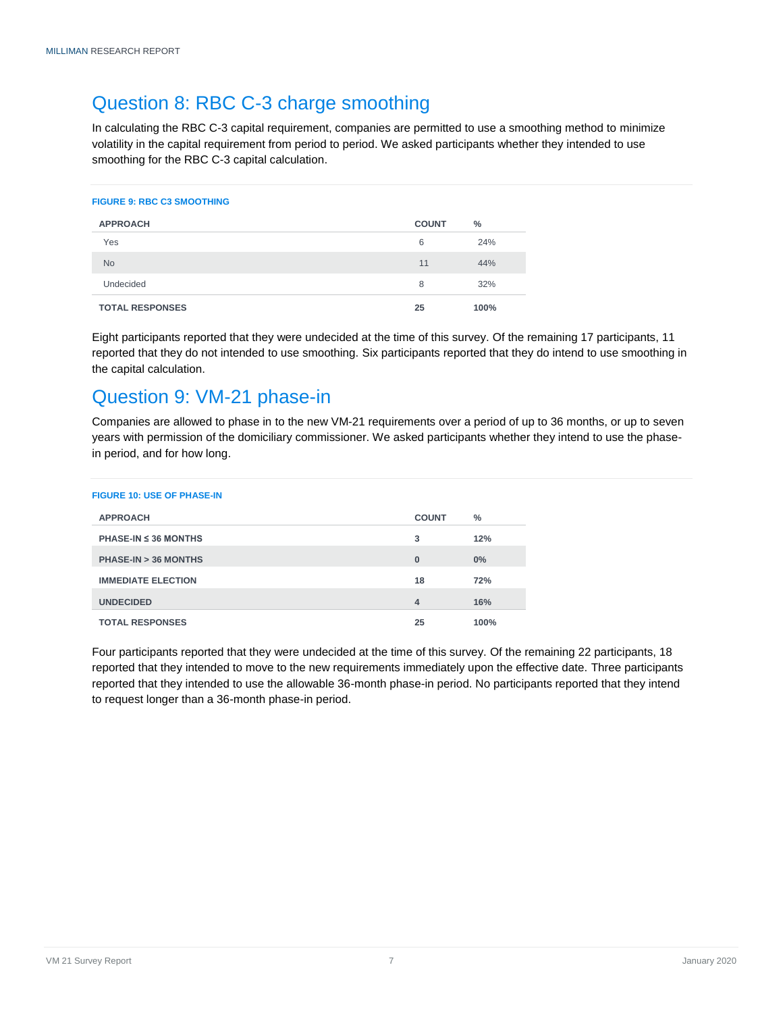### <span id="page-9-0"></span>Question 8: RBC C-3 charge smoothing

In calculating the RBC C-3 capital requirement, companies are permitted to use a smoothing method to minimize volatility in the capital requirement from period to period. We asked participants whether they intended to use smoothing for the RBC C-3 capital calculation.

#### **FIGURE 9: RBC C3 SMOOTHING**

| <b>APPROACH</b>        | <b>COUNT</b> | $\%$ |
|------------------------|--------------|------|
| Yes                    | 6            | 24%  |
| <b>No</b>              | 11           | 44%  |
| Undecided              | 8            | 32%  |
| <b>TOTAL RESPONSES</b> | 25           | 100% |

Eight participants reported that they were undecided at the time of this survey. Of the remaining 17 participants, 11 reported that they do not intended to use smoothing. Six participants reported that they do intend to use smoothing in the capital calculation.

### <span id="page-9-1"></span>Question 9: VM-21 phase-in

Companies are allowed to phase in to the new VM-21 requirements over a period of up to 36 months, or up to seven years with permission of the domiciliary commissioner. We asked participants whether they intend to use the phasein period, and for how long.

| <b>FIGURE 10: USE OF PHASE-IN</b>           |              |      |
|---------------------------------------------|--------------|------|
| <b>APPROACH</b>                             | <b>COUNT</b> | $\%$ |
| <b>PHASE-IN <math>\leq</math> 36 MONTHS</b> | 3            | 12%  |
| PHASE-IN > 36 MONTHS                        | $\bf{0}$     | 0%   |
| <b>IMMEDIATE ELECTION</b>                   | 18           | 72%  |
| <b>UNDECIDED</b>                            | 4            | 16%  |
| <b>TOTAL RESPONSES</b>                      | 25           | 100% |

Four participants reported that they were undecided at the time of this survey. Of the remaining 22 participants, 18 reported that they intended to move to the new requirements immediately upon the effective date. Three participants reported that they intended to use the allowable 36-month phase-in period. No participants reported that they intend to request longer than a 36-month phase-in period.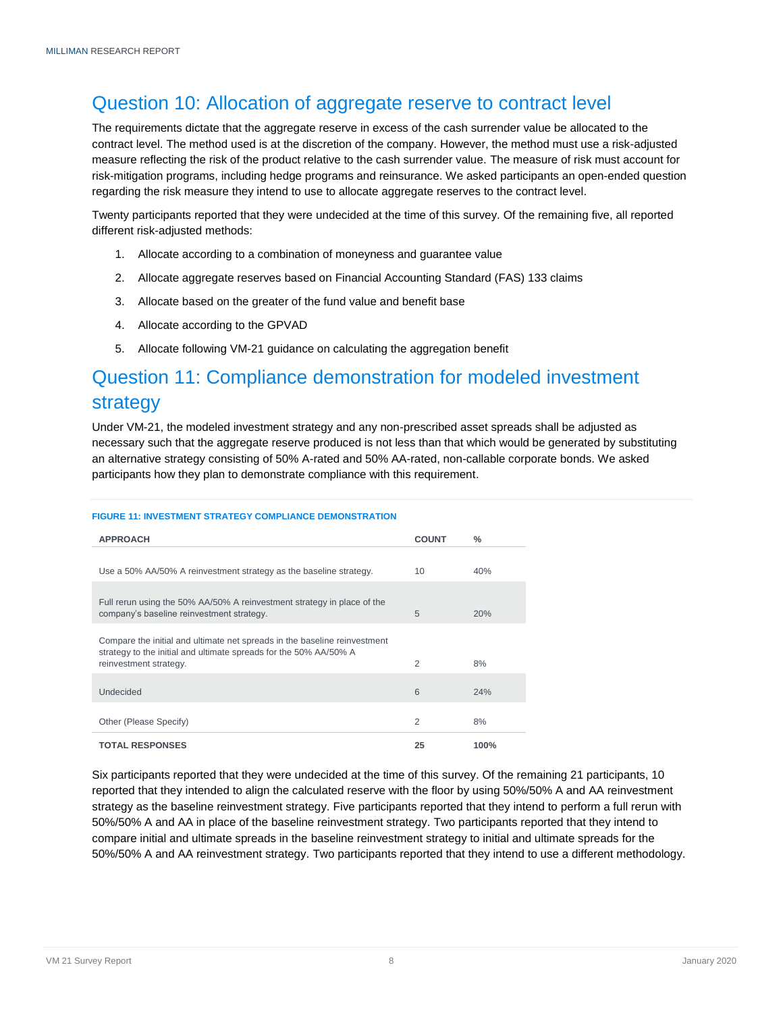### <span id="page-10-0"></span>Question 10: Allocation of aggregate reserve to contract level

The requirements dictate that the aggregate reserve in excess of the cash surrender value be allocated to the contract level. The method used is at the discretion of the company. However, the method must use a risk-adjusted measure reflecting the risk of the product relative to the cash surrender value. The measure of risk must account for risk-mitigation programs, including hedge programs and reinsurance. We asked participants an open-ended question regarding the risk measure they intend to use to allocate aggregate reserves to the contract level.

Twenty participants reported that they were undecided at the time of this survey. Of the remaining five, all reported different risk-adjusted methods:

- 1. Allocate according to a combination of moneyness and guarantee value
- 2. Allocate aggregate reserves based on Financial Accounting Standard (FAS) 133 claims
- 3. Allocate based on the greater of the fund value and benefit base
- 4. Allocate according to the GPVAD
- 5. Allocate following VM-21 guidance on calculating the aggregation benefit

### <span id="page-10-1"></span>Question 11: Compliance demonstration for modeled investment strategy

Under VM-21, the modeled investment strategy and any non-prescribed asset spreads shall be adjusted as necessary such that the aggregate reserve produced is not less than that which would be generated by substituting an alternative strategy consisting of 50% A-rated and 50% AA-rated, non-callable corporate bonds. We asked participants how they plan to demonstrate compliance with this requirement.

| <b>APPROACH</b>                                                                                                                                                          | <b>COUNT</b> | ℅    |
|--------------------------------------------------------------------------------------------------------------------------------------------------------------------------|--------------|------|
|                                                                                                                                                                          |              |      |
| Use a 50% AA/50% A reinvestment strategy as the baseline strategy.                                                                                                       | 10           | 40%  |
| Full rerun using the 50% AA/50% A reinvestment strategy in place of the<br>company's baseline reinvestment strategy.                                                     | 5            | 20%  |
| Compare the initial and ultimate net spreads in the baseline reinvestment<br>strategy to the initial and ultimate spreads for the 50% AA/50% A<br>reinvestment strategy. | 2            | 8%   |
| Undecided                                                                                                                                                                | 6            | 24%  |
| Other (Please Specify)                                                                                                                                                   | 2            | 8%   |
| <b>TOTAL RESPONSES</b>                                                                                                                                                   | 25           | 100% |

#### **FIGURE 11: INVESTMENT STRATEGY COMPLIANCE DEMONSTRATION**

Six participants reported that they were undecided at the time of this survey. Of the remaining 21 participants, 10 reported that they intended to align the calculated reserve with the floor by using 50%/50% A and AA reinvestment strategy as the baseline reinvestment strategy. Five participants reported that they intend to perform a full rerun with 50%/50% A and AA in place of the baseline reinvestment strategy. Two participants reported that they intend to compare initial and ultimate spreads in the baseline reinvestment strategy to initial and ultimate spreads for the 50%/50% A and AA reinvestment strategy. Two participants reported that they intend to use a different methodology.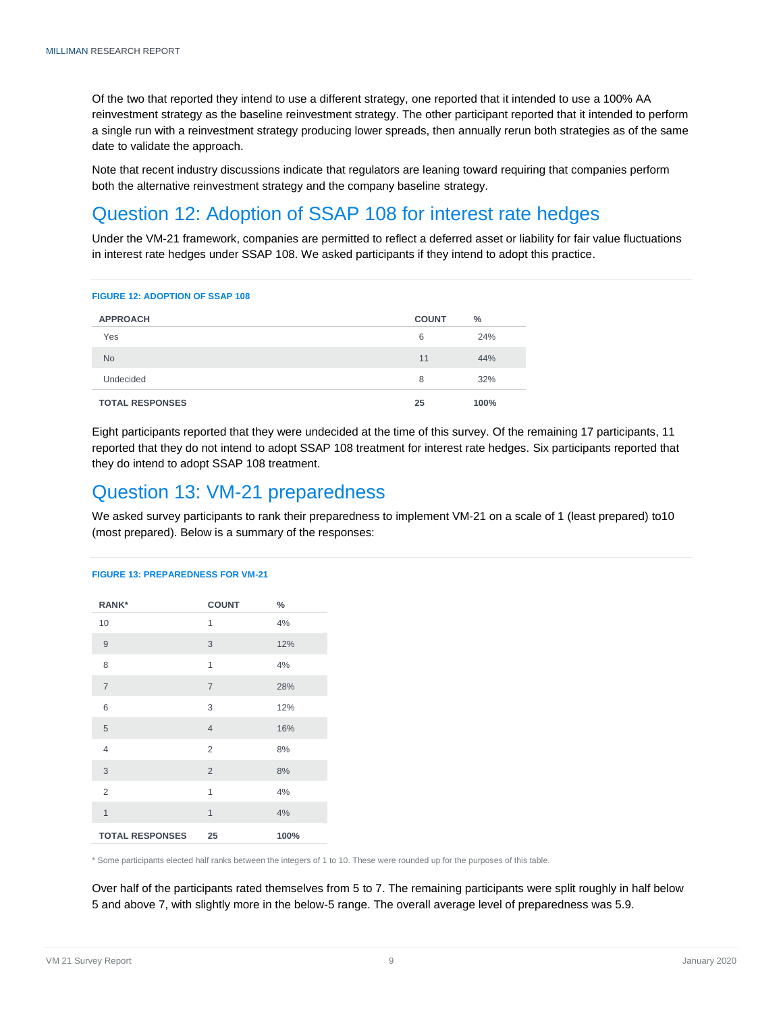<span id="page-11-2"></span>Of the two that reported they intend to use a different strategy, one reported that it intended to use a 100% AA reinvestment strategy as the baseline reinvestment strategy. The other participant reported that it intended to perform a single run with a reinvestment strategy producing lower spreads, then annually rerun both strategies as of the same date to validate the approach.

Note that recent industry discussions indicate that regulators are leaning toward requiring that companies perform both the alternative reinvestment strategy and the company baseline strategy.

### <span id="page-11-0"></span>Question 12: Adoption of SSAP 108 for interest rate hedges

Under the VM-21 framework, companies are permitted to reflect a deferred asset or liability for fair value fluctuations in interest rate hedges under SSAP 108. We asked participants if they intend to adopt this practice.

#### **FIGURE 12: ADOPTION OF SSAP 108**

| <b>APPROACH</b>        | <b>COUNT</b> | $\%$ |
|------------------------|--------------|------|
| Yes                    | 6            | 24%  |
| <b>No</b>              | 11           | 44%  |
| Undecided              | 8            | 32%  |
| <b>TOTAL RESPONSES</b> | 25           | 100% |

Eight participants reported that they were undecided at the time of this survey. Of the remaining 17 participants, 11 reported that they do not intend to adopt SSAP 108 treatment for interest rate hedges. Six participants reported that they do intend to adopt SSAP 108 treatment.

#### <span id="page-11-1"></span>Question 13: VM-21 preparedness

We asked survey participants to rank their preparedness to implement VM-21 on a scale of 1 (least prepared) to10 (most prepared). Below is a summary of the responses:

| <b>RANK*</b>           | <b>COUNT</b>   | $\%$ |
|------------------------|----------------|------|
| 10                     | 1              | 4%   |
| 9                      | 3              | 12%  |
| 8                      | 1              | 4%   |
| $\overline{7}$         | $\overline{7}$ | 28%  |
| 6                      | 3              | 12%  |
| 5                      | $\overline{4}$ | 16%  |
| $\overline{4}$         | $\overline{2}$ | 8%   |
| 3                      | $\overline{2}$ | 8%   |
| $\overline{2}$         | 1              | 4%   |
| $\overline{1}$         | $\overline{1}$ | 4%   |
| <b>TOTAL RESPONSES</b> | 25             | 100% |

#### **FIGURE 13: PREPAREDNESS FOR VM-21**

\* Some participants elected half ranks between the integers of 1 to 10. These were rounded up for the purposes of this table.

Over half of the participants rated themselves from 5 to 7. The remaining participants were split roughly in half below 5 and above 7, with slightly more in the below-5 range. The overall average level of preparedness was 5.9.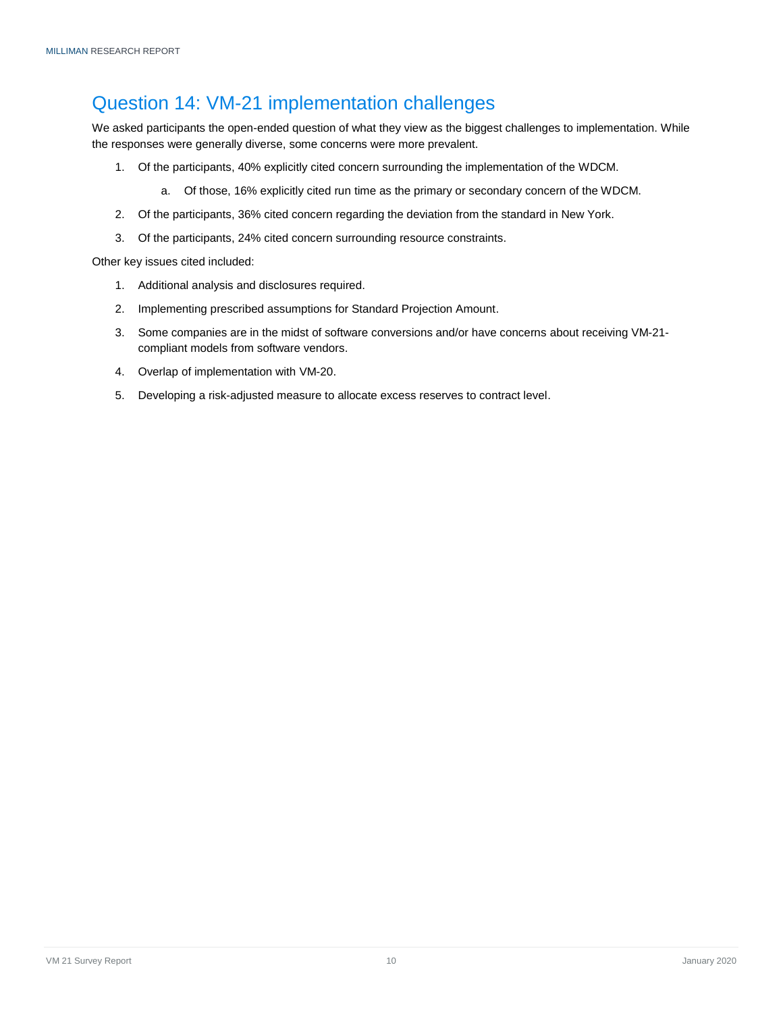### Question 14: VM-21 implementation challenges

We asked participants the open-ended question of what they view as the biggest challenges to implementation. While the responses were generally diverse, some concerns were more prevalent.

- 1. Of the participants, 40% explicitly cited concern surrounding the implementation of the WDCM.
	- a. Of those, 16% explicitly cited run time as the primary or secondary concern of the WDCM.
- 2. Of the participants, 36% cited concern regarding the deviation from the standard in New York.
- 3. Of the participants, 24% cited concern surrounding resource constraints.

Other key issues cited included:

- 1. Additional analysis and disclosures required.
- 2. Implementing prescribed assumptions for Standard Projection Amount.
- 3. Some companies are in the midst of software conversions and/or have concerns about receiving VM-21 compliant models from software vendors.
- 4. Overlap of implementation with VM-20.
- 5. Developing a risk-adjusted measure to allocate excess reserves to contract level.